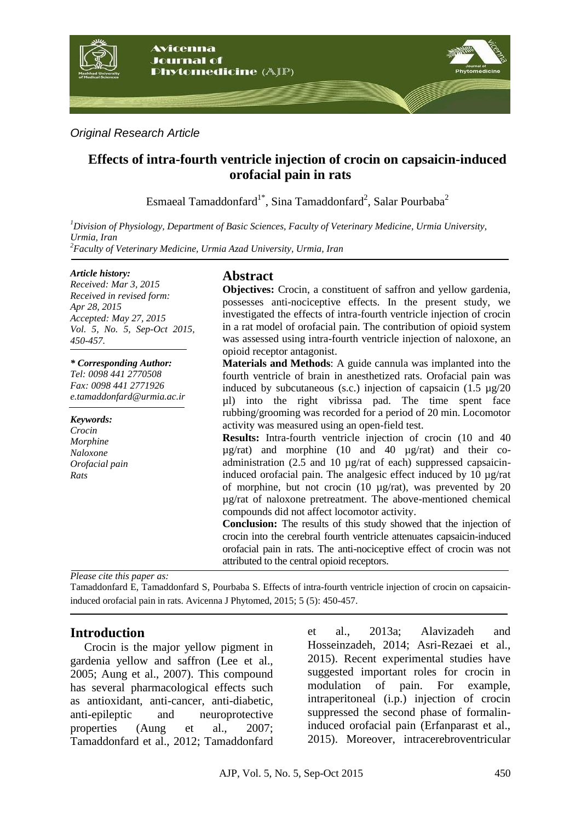

*Original Research Article*

# **Effects of intra-fourth ventricle injection of crocin on capsaicin-induced orofacial pain in rats**

Esmaeal Tamaddonfard $^{1^*}$ , Sina Tamaddonfard $^2$ , Salar Pourbaba $^2$ 

*<sup>1</sup>Division of Physiology, Department of Basic Sciences, Faculty of Veterinary Medicine, Urmia University, Urmia, Iran <sup>2</sup>Faculty of Veterinary Medicine, Urmia Azad University, Urmia, Iran*

#### *Article history:*

*Received: Mar 3, 2015 Received in revised form: Apr 28, 2015 Accepted: May 27, 2015 Vol. 5, No. 5, Sep-Oct 2015, 450-457.*

*\* Corresponding Author: Tel: 0098 441 2770508 Fax: 0098 441 2771926 [e.tamaddonfard@urmia.ac.ir](mailto:e.tamaddonfard@urmia.ac.ir)*

*Keywords: Crocin Morphine Naloxone Orofacial pain Rats*

# **Abstract**

**Objectives:** Crocin, a constituent of saffron and yellow gardenia, possesses anti-nociceptive effects. In the present study, we investigated the effects of intra-fourth ventricle injection of crocin in a rat model of orofacial pain. The contribution of opioid system was assessed using intra-fourth ventricle injection of naloxone, an opioid receptor antagonist.

**Materials and Methods**: A guide cannula was implanted into the fourth ventricle of brain in anesthetized rats. Orofacial pain was induced by subcutaneous (s.c.) injection of capsaicin  $(1.5 \text{ µg}/20)$ µl) into the right vibrissa pad. The time spent face rubbing/grooming was recorded for a period of 20 min. Locomotor activity was measured using an open-field test.

**Results:** Intra-fourth ventricle injection of crocin (10 and 40  $\mu$ g/rat) and morphine (10 and 40  $\mu$ g/rat) and their coadministration (2.5 and 10 µg/rat of each) suppressed capsaicininduced orofacial pain. The analgesic effect induced by 10 µg/rat of morphine, but not crocin (10 µg/rat), was prevented by 20 µg/rat of naloxone pretreatment. The above-mentioned chemical compounds did not affect locomotor activity.

**Conclusion:** The results of this study showed that the injection of crocin into the cerebral fourth ventricle attenuates capsaicin-induced orofacial pain in rats. The anti-nociceptive effect of crocin was not attributed to the central opioid receptors.

*Please cite this paper as:* 

Tamaddonfard E, Tamaddonfard S, Pourbaba S. Effects of intra-fourth ventricle injection of crocin on capsaicininduced orofacial pain in rats. Avicenna J Phytomed, 2015; 5 (5): 450-457.

# **Introduction**

Crocin is the major yellow pigment in gardenia yellow and saffron (Lee et al., 2005; Aung et al., 2007). This compound has several pharmacological effects such as antioxidant, anti-cancer, anti-diabetic, anti-epileptic and neuroprotective properties (Aung et al., 2007; Tamaddonfard et al., 2012; Tamaddonfard et al., 2013a; Alavizadeh and Hosseinzadeh, 2014; Asri-Rezaei et al., 2015). Recent experimental studies have suggested important roles for crocin in modulation of pain. For example, intraperitoneal (i.p.) injection of crocin suppressed the second phase of formalininduced orofacial pain (Erfanparast et al., 2015). Moreover, intracerebroventricular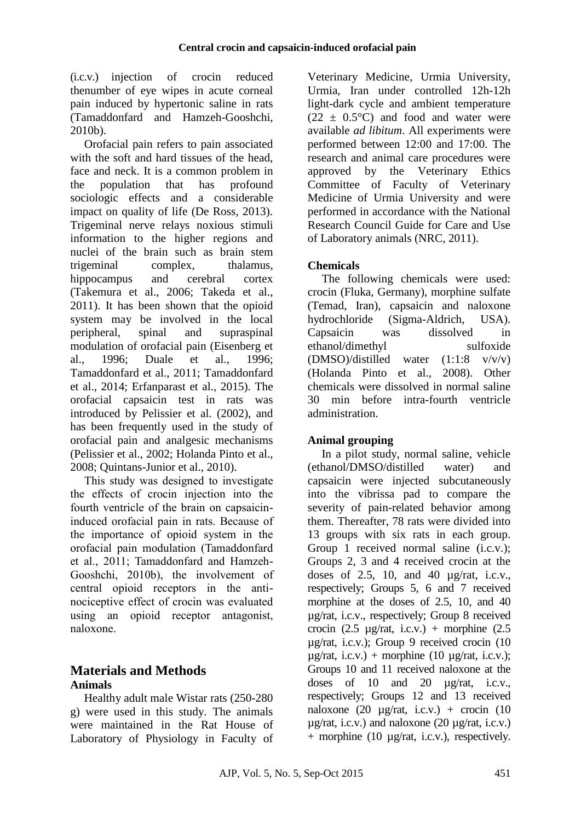(i.c.v.) injection of crocin reduced thenumber of eye wipes in acute corneal pain induced by hypertonic saline in rats (Tamaddonfard and Hamzeh-Gooshchi, 2010b).

Orofacial pain refers to pain associated with the soft and hard tissues of the head. face and neck. It is a common problem in the population that has profound sociologic effects and a considerable impact on quality of life (De Ross, 2013). Trigeminal nerve relays noxious stimuli information to the higher regions and nuclei of the brain such as brain stem trigeminal complex, thalamus, hippocampus and cerebral cortex (Takemura et al., 2006; Takeda et al., 2011). It has been shown that the opioid system may be involved in the local peripheral, spinal and supraspinal modulation of orofacial pain (Eisenberg et al., 1996; Duale et al., 1996; Tamaddonfard et al., 2011; Tamaddonfard et al., 2014; Erfanparast et al., 2015). The orofacial capsaicin test in rats was introduced by Pelissier et al. (2002), and has been frequently used in the study of orofacial pain and analgesic mechanisms (Pelissier et al., 2002; Holanda Pinto et al., 2008; Quintans-Junior et al., 2010).

This study was designed to investigate the effects of crocin injection into the fourth ventricle of the brain on capsaicininduced orofacial pain in rats. Because of the importance of opioid system in the orofacial pain modulation (Tamaddonfard et al., 2011; Tamaddonfard and Hamzeh-Gooshchi, 2010b), the involvement of central opioid receptors in the antinociceptive effect of crocin was evaluated using an opioid receptor antagonist, naloxone.

# **Materials and Methods Animals**

Healthy adult male Wistar rats (250-280 g) were used in this study. The animals were maintained in the Rat House of Laboratory of Physiology in Faculty of

Veterinary Medicine, Urmia University, Urmia, Iran under controlled 12h-12h light-dark cycle and ambient temperature  $(22 \pm 0.5^{\circ}\text{C})$  and food and water were available *ad libitum*. All experiments were performed between 12:00 and 17:00. The research and animal care procedures were approved by the Veterinary Ethics Committee of Faculty of Veterinary Medicine of Urmia University and were performed in accordance with the National Research Council Guide for Care and Use of Laboratory animals (NRC, 2011).

# **Chemicals**

The following chemicals were used: crocin (Fluka, Germany), morphine sulfate (Temad, Iran), capsaicin and naloxone hydrochloride (Sigma-Aldrich, USA). Capsaicin was dissolved in ethanol/dimethyl sulfoxide (DMSO)/distilled water (1:1:8 v/v/v) (Holanda Pinto et al., 2008). Other chemicals were dissolved in normal saline 30 min before intra-fourth ventricle administration.

# **Animal grouping**

In a pilot study, normal saline, vehicle (ethanol/DMSO/distilled water) and capsaicin were injected subcutaneously into the vibrissa pad to compare the severity of pain-related behavior among them. Thereafter, 78 rats were divided into 13 groups with six rats in each group. Group 1 received normal saline (i.c.v.); Groups 2, 3 and 4 received crocin at the doses of 2.5, 10, and 40  $\mu$ g/rat, i.c.v., respectively; Groups 5, 6 and 7 received morphine at the doses of 2.5, 10, and 40 µg/rat, i.c.v., respectively; Group 8 received crocin (2.5  $\mu$ g/rat, i.c.v.) + morphine (2.5 µg/rat, i.c.v.); Group 9 received crocin (10  $\mu$ g/rat, i.c.v.) + morphine (10  $\mu$ g/rat, i.c.v.); Groups 10 and 11 received naloxone at the doses of 10 and 20 µg/rat, i.c.v., respectively; Groups 12 and 13 received naloxone (20  $\mu$ g/rat, i.c.v.) + crocin (10  $\mu$ g/rat, i.c.v.) and naloxone (20  $\mu$ g/rat, i.c.v.) + morphine (10 µg/rat, i.c.v.), respectively.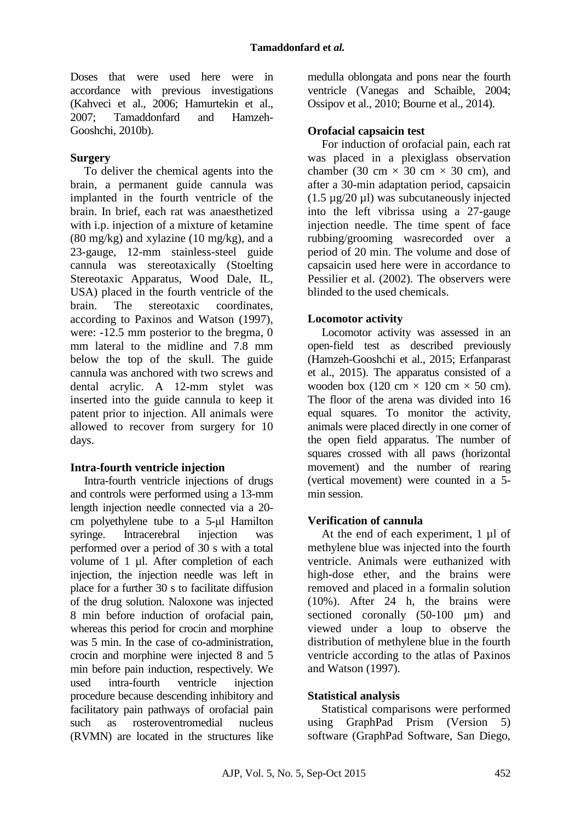Doses that were used here were in accordance with previous investigations (Kahveci et al., 2006; Hamurtekin et al., 2007; Tamaddonfard and Hamzeh-Gooshchi, 2010b).

### **Surgery**

To deliver the chemical agents into the brain, a permanent guide cannula was implanted in the fourth ventricle of the brain. In brief, each rat was anaesthetized with i.p. injection of a mixture of ketamine  $(80 \text{ mg/kg})$  and xylazine  $(10 \text{ mg/kg})$ , and a 23-gauge, 12-mm stainless-steel guide cannula was stereotaxically (Stoelting Stereotaxic Apparatus, Wood Dale, IL, USA) placed in the fourth ventricle of the brain. The stereotaxic coordinates, according to Paxinos and Watson (1997), were: -12.5 mm posterior to the bregma, 0 mm lateral to the midline and 7.8 mm below the top of the skull. The guide cannula was anchored with two screws and dental acrylic. A 12-mm stylet was inserted into the guide cannula to keep it patent prior to injection. All animals were allowed to recover from surgery for 10 days.

## **Intra-fourth ventricle injection**

Intra-fourth ventricle injections of drugs and controls were performed using a 13-mm length injection needle connected via a 20 cm polyethylene tube to a 5-μl Hamilton syringe. Intracerebral injection was performed over a period of 30 s with a total volume of 1 µl. After completion of each injection, the injection needle was left in place for a further 30 s to facilitate diffusion of the drug solution. Naloxone was injected 8 min before induction of orofacial pain, whereas this period for crocin and morphine was 5 min. In the case of co-administration, crocin and morphine were injected 8 and 5 min before pain induction, respectively. We used intra-fourth ventricle injection procedure because descending inhibitory and facilitatory pain pathways of orofacial pain such as rosteroventromedial nucleus (RVMN) are located in the structures like medulla oblongata and pons near the fourth ventricle (Vanegas and Schaible, 2004; Ossipov et al., 2010; Bourne et al., 2014).

## **Orofacial capsaicin test**

For induction of orofacial pain, each rat was placed in a plexiglass observation chamber (30 cm  $\times$  30 cm  $\times$  30 cm), and after a 30-min adaptation period, capsaicin (1.5 µg/20 µl) was subcutaneously injected into the left vibrissa using a 27-gauge injection needle. The time spent of face rubbing/grooming wasrecorded over a period of 20 min. The volume and dose of capsaicin used here were in accordance to Pessilier et al. (2002). The observers were blinded to the used chemicals.

### **Locomotor activity**

Locomotor activity was assessed in an open-field test as described previously (Hamzeh-Gooshchi et al., 2015; Erfanparast et al., 2015). The apparatus consisted of a wooden box (120 cm  $\times$  120 cm  $\times$  50 cm). The floor of the arena was divided into 16 equal squares. To monitor the activity, animals were placed directly in one corner of the open field apparatus. The number of squares crossed with all paws (horizontal movement) and the number of rearing (vertical movement) were counted in a 5 min session.

## **Verification of cannula**

At the end of each experiment, 1 µl of methylene blue was injected into the fourth ventricle. Animals were euthanized with high-dose ether, and the brains were removed and placed in a formalin solution (10%). After 24 h, the brains were sectioned coronally (50-100 µm) and viewed under a loup to observe the distribution of methylene blue in the fourth ventricle according to the atlas of Paxinos and Watson (1997).

## **Statistical analysis**

Statistical comparisons were performed using GraphPad Prism (Version 5) software (GraphPad Software, San Diego,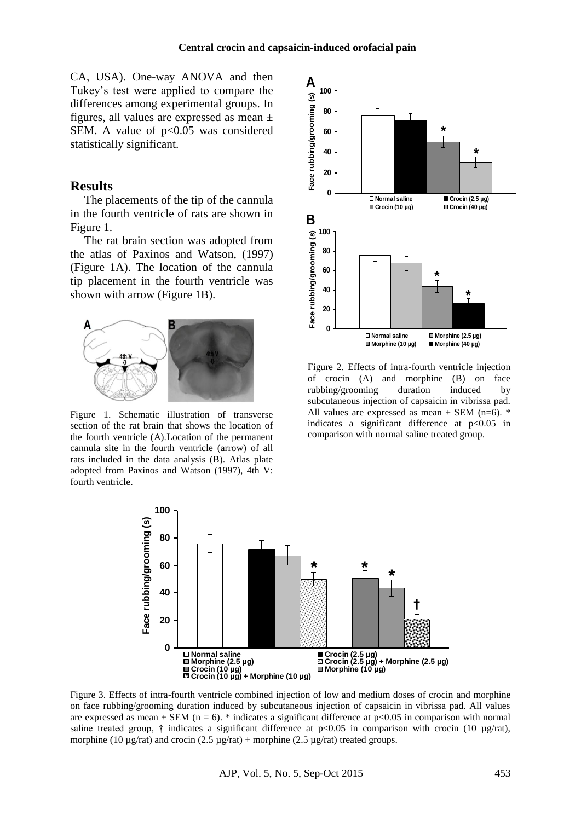CA, USA). One-way ANOVA and then Tukey's test were applied to compare the differences among experimental groups. In figures, all values are expressed as mean  $\pm$ SEM. A value of  $p<0.05$  was considered statistically significant.

#### **Results**

The placements of the tip of the cannula in the fourth ventricle of rats are shown in Figure 1.

The rat brain section was adopted from the atlas of Paxinos and Watson, (1997) (Figure 1A). The location of the cannula tip placement in the fourth ventricle was shown with arrow (Figure 1B).



Figure 1. Schematic illustration of transverse section of the rat brain that shows the location of the fourth ventricle (A).Location of the permanent cannula site in the fourth ventricle (arrow) of all rats included in the data analysis (B). Atlas plate adopted from Paxinos and Watson (1997), 4th V: fourth ventricle.



Figure 2. Effects of intra-fourth ventricle injection of crocin (A) and morphine (B) on face rubbing/grooming duration induced by subcutaneous injection of capsaicin in vibrissa pad. All values are expressed as mean  $\pm$  SEM (n=6). \* indicates a significant difference at  $p<0.05$  in comparison with normal saline treated group.



Figure 3. Effects of intra-fourth ventricle combined injection of low and medium doses of crocin and morphine on face rubbing/grooming duration induced by subcutaneous injection of capsaicin in vibrissa pad. All values are expressed as mean  $\pm$  SEM (n = 6). \* indicates a significant difference at p<0.05 in comparison with normal saline treated group, † indicates a significant difference at  $p<0.05$  in comparison with crocin (10  $\mu$ g/rat), morphine (10  $\mu$ g/rat) and crocin (2.5  $\mu$ g/rat) + morphine (2.5  $\mu$ g/rat) treated groups.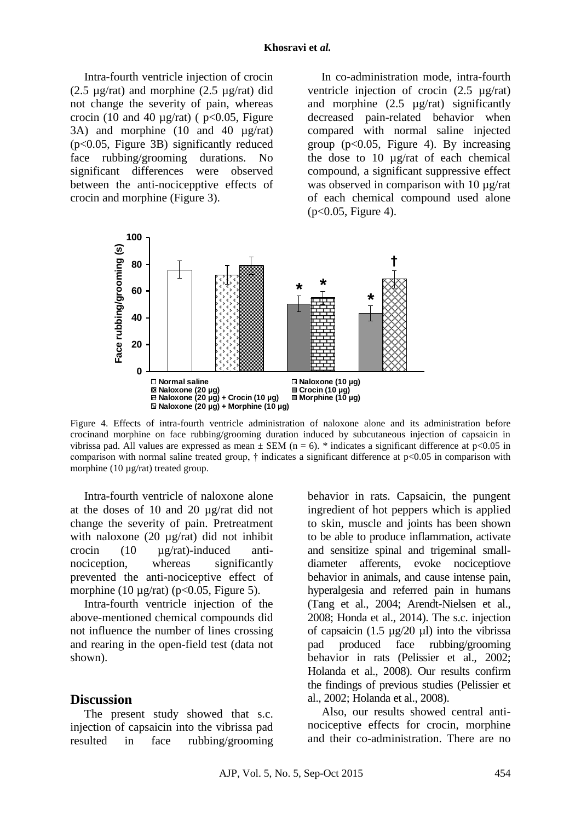Intra-fourth ventricle injection of crocin (2.5  $\mu$ g/rat) and morphine (2.5  $\mu$ g/rat) did not change the severity of pain, whereas crocin (10 and 40  $\mu$ g/rat) ( p<0.05, Figure 3A) and morphine (10 and 40 µg/rat) (p<0.05, Figure 3B) significantly reduced face rubbing/grooming durations. No significant differences were observed between the anti-nocicepptive effects of crocin and morphine (Figure 3).

In co-administration mode, intra-fourth ventricle injection of crocin (2.5 µg/rat) and morphine  $(2.5 \text{ µg/rat})$  significantly decreased pain-related behavior when compared with normal saline injected group  $(p<0.05$ , Figure 4). By increasing the dose to 10 µg/rat of each chemical compound, a significant suppressive effect was observed in comparison with 10  $\mu$ g/rat of each chemical compound used alone  $(p<0.05,$  Figure 4).



Figure 4. Effects of intra-fourth ventricle administration of naloxone alone and its administration before crocinand morphine on face rubbing/grooming duration induced by subcutaneous injection of capsaicin in vibrissa pad. All values are expressed as mean  $\pm$  SEM (n = 6). \* indicates a significant difference at p<0.05 in comparison with normal saline treated group,  $\dagger$  indicates a significant difference at  $p<0.05$  in comparison with morphine (10  $\mu$ g/rat) treated group.

Intra-fourth ventricle of naloxone alone at the doses of 10 and 20 µg/rat did not change the severity of pain. Pretreatment with naloxone (20  $\mu$ g/rat) did not inhibit crocin (10 µg/rat)-induced antinociception, whereas significantly prevented the anti-nociceptive effect of morphine (10  $\mu$ g/rat) (p<0.05, Figure 5).

Intra-fourth ventricle injection of the above-mentioned chemical compounds did not influence the number of lines crossing and rearing in the open-field test (data not shown).

### **Discussion**

The present study showed that s.c. injection of capsaicin into the vibrissa pad resulted in face rubbing/grooming behavior in rats. Capsaicin, the pungent ingredient of hot peppers which is applied to skin, muscle and joints has been shown to be able to produce inflammation, activate and sensitize spinal and trigeminal smalldiameter afferents, evoke nociceptiove behavior in animals, and cause intense pain, hyperalgesia and referred pain in humans (Tang et al., 2004; Arendt-Nielsen et al., 2008; Honda et al., 2014). The s.c. injection of capsaicin  $(1.5 \text{ µg}/20 \text{ µl})$  into the vibrissa pad produced face rubbing/grooming behavior in rats (Pelissier et al., 2002; Holanda et al., 2008). Our results confirm the findings of previous studies (Pelissier et al., 2002; Holanda et al., 2008).

Also, our results showed central antinociceptive effects for crocin, morphine and their co-administration. There are no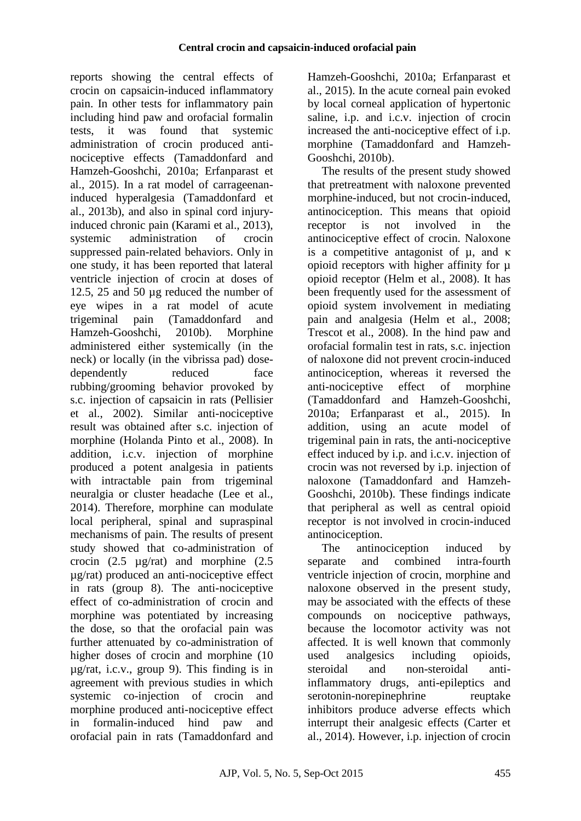reports showing the central effects of crocin on capsaicin-induced inflammatory pain. In other tests for inflammatory pain including hind paw and orofacial formalin tests, it was found that systemic administration of crocin produced antinociceptive effects (Tamaddonfard and Hamzeh-Gooshchi, 2010a; Erfanparast et al., 2015). In a rat model of carrageenaninduced hyperalgesia (Tamaddonfard et al., 2013b), and also in spinal cord injuryinduced chronic pain (Karami et al., 2013), systemic administration of crocin suppressed pain-related behaviors. Only in one study, it has been reported that lateral ventricle injection of crocin at doses of 12.5, 25 and 50 µg reduced the number of eye wipes in a rat model of acute trigeminal pain (Tamaddonfard and Hamzeh-Gooshchi, 2010b). Morphine administered either systemically (in the neck) or locally (in the vibrissa pad) dosedependently reduced face rubbing/grooming behavior provoked by s.c. injection of capsaicin in rats (Pellisier et al., 2002). Similar anti-nociceptive result was obtained after s.c. injection of morphine (Holanda Pinto et al., 2008). In addition, i.c.v. injection of morphine produced a potent analgesia in patients with intractable pain from trigeminal neuralgia or cluster headache (Lee et al., 2014). Therefore, morphine can modulate local peripheral, spinal and supraspinal mechanisms of pain. The results of present study showed that co-administration of crocin (2.5 µg/rat) and morphine (2.5 µg/rat) produced an anti-nociceptive effect in rats (group 8). The anti-nociceptive effect of co-administration of crocin and morphine was potentiated by increasing the dose, so that the orofacial pain was further attenuated by co-administration of higher doses of crocin and morphine (10 µg/rat, i.c.v., group 9). This finding is in agreement with previous studies in which systemic co-injection of crocin and morphine produced anti-nociceptive effect in formalin-induced hind paw and orofacial pain in rats (Tamaddonfard and

Hamzeh-Gooshchi, 2010a; Erfanparast et al., 2015). In the acute corneal pain evoked by local corneal application of hypertonic saline, i.p. and i.c.v. injection of crocin increased the anti-nociceptive effect of i.p. morphine (Tamaddonfard and Hamzeh-Gooshchi, 2010b).

The results of the present study showed that pretreatment with naloxone prevented morphine-induced, but not crocin-induced, antinociception. This means that opioid receptor is not involved in the antinociceptive effect of crocin. Naloxone is a competitive antagonist of µ, and κ opioid receptors with higher affinity for  $\mu$ opioid receptor (Helm et al., 2008). It has been frequently used for the assessment of opioid system involvement in mediating pain and analgesia (Helm et al., 2008; Trescot et al., 2008). In the hind paw and orofacial formalin test in rats, s.c. injection of naloxone did not prevent crocin-induced antinociception, whereas it reversed the anti-nociceptive effect of morphine (Tamaddonfard and Hamzeh-Gooshchi, 2010a; Erfanparast et al., 2015). In addition, using an acute model of trigeminal pain in rats, the anti-nociceptive effect induced by i.p. and i.c.v. injection of crocin was not reversed by i.p. injection of naloxone (Tamaddonfard and Hamzeh-Gooshchi, 2010b). These findings indicate that peripheral as well as central opioid receptor is not involved in crocin-induced antinociception.

The antinociception induced by separate and combined intra-fourth ventricle injection of crocin, morphine and naloxone observed in the present study, may be associated with the effects of these compounds on nociceptive pathways, because the locomotor activity was not affected. It is well known that commonly used analgesics including opioids, steroidal and non-steroidal antiinflammatory drugs, anti-epileptics and serotonin-norepinephrine reuptake inhibitors produce adverse effects which interrupt their analgesic effects (Carter et al., 2014). However, i.p. injection of crocin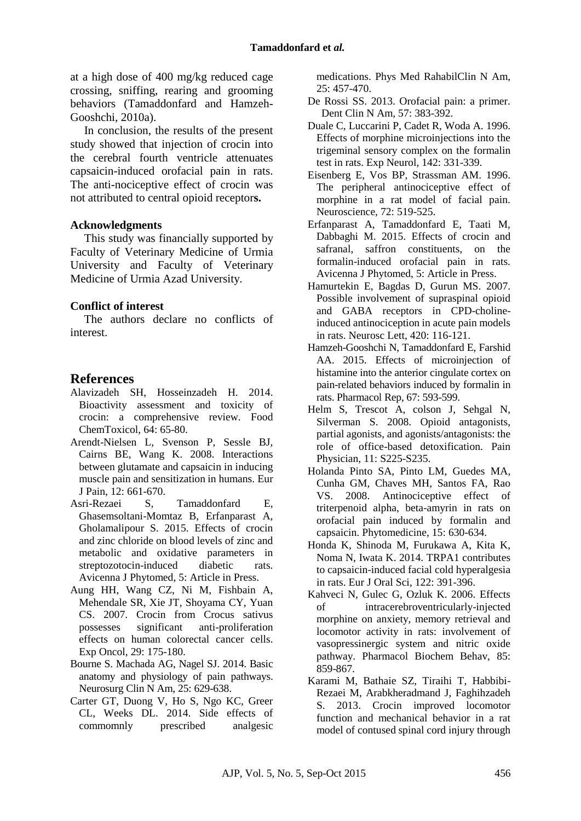at a high dose of 400 mg/kg reduced cage crossing, sniffing, rearing and grooming behaviors (Tamaddonfard and Hamzeh-Gooshchi, 2010a).

In conclusion, the results of the present study showed that injection of crocin into the cerebral fourth ventricle attenuates capsaicin-induced orofacial pain in rats. The anti-nociceptive effect of crocin was not attributed to central opioid receptor**s.**

#### **Acknowledgments**

This study was financially supported by Faculty of Veterinary Medicine of Urmia University and Faculty of Veterinary Medicine of Urmia Azad University.

#### **Conflict of interest**

The authors declare no conflicts of interest.

## **References**

- Alavizadeh SH, Hosseinzadeh H. 2014. Bioactivity assessment and toxicity of crocin: a comprehensive review. Food ChemToxicol, 64: 65-80.
- Arendt-Nielsen L, Svenson P, Sessle BJ, Cairns BE, Wang K. 2008. Interactions between glutamate and capsaicin in inducing muscle pain and sensitization in humans. Eur J Pain, 12: 661-670.
- Asri-Rezaei S, Tamaddonfard E, Ghasemsoltani-Momtaz B, Erfanparast A, Gholamalipour S. 2015. Effects of crocin and zinc chloride on blood levels of zinc and metabolic and oxidative parameters in streptozotocin-induced diabetic rats. Avicenna J Phytomed, 5: Article in Press.
- Aung HH, Wang CZ, Ni M, Fishbain A, Mehendale SR, Xie JT, Shoyama CY, Yuan CS. 2007. Crocin from Crocus sativus possesses significant anti-proliferation effects on human colorectal cancer cells. Exp Oncol, 29: 175-180.
- Bourne S. Machada AG, Nagel SJ. 2014. Basic anatomy and physiology of pain pathways. Neurosurg Clin N Am, 25: 629-638.
- Carter GT, Duong V, Ho S, Ngo KC, Greer CL, Weeks DL. 2014. Side effects of commomnly prescribed analgesic

medications. Phys Med RahabilClin N Am, 25: 457-470.

- De Rossi SS. 2013. Orofacial pain: a primer. Dent Clin N Am, 57: 383-392.
- Duale C, Luccarini P, Cadet R, Woda A. 1996. Effects of morphine microinjections into the trigeminal sensory complex on the formalin test in rats. Exp Neurol, 142: 331-339.
- Eisenberg E, Vos BP, Strassman AM. 1996. The peripheral antinociceptive effect of morphine in a rat model of facial pain. Neuroscience, 72: 519-525.
- Erfanparast A, Tamaddonfard E, Taati M, Dabbaghi M. 2015. Effects of crocin and safranal, saffron constituents, on the formalin-induced orofacial pain in rats. Avicenna J Phytomed, 5: Article in Press.
- Hamurtekin E, Bagdas D, Gurun MS. 2007. Possible involvement of supraspinal opioid and GABA receptors in CPD-cholineinduced antinociception in acute pain models in rats. Neurosc Lett, 420: 116-121.
- Hamzeh-Gooshchi N, Tamaddonfard E, Farshid AA. 2015. Effects of microinjection of histamine into the anterior cingulate cortex on pain-related behaviors induced by formalin in rats. Pharmacol Rep, 67: 593-599.
- Helm S, Trescot A, colson J, Sehgal N, Silverman S. 2008. Opioid antagonists, partial agonists, and agonists/antagonists: the role of office-based detoxification. Pain Physician, 11: S225-S235.
- Holanda Pinto SA, Pinto LM, Guedes MA, Cunha GM, Chaves MH, Santos FA, Rao VS. 2008. Antinociceptive effect of triterpenoid alpha, beta-amyrin in rats on orofacial pain induced by formalin and capsaicin. Phytomedicine, 15: 630-634.
- Honda K, Shinoda M, Furukawa A, Kita K, Noma N, Iwata K. 2014. TRPA1 contributes to capsaicin-induced facial cold hyperalgesia in rats. Eur J Oral Sci, 122: 391-396.
- Kahveci N, Gulec G, Ozluk K. 2006. Effects of intracerebroventricularly-injected morphine on anxiety, memory retrieval and locomotor activity in rats: involvement of vasopressinergic system and nitric oxide pathway. Pharmacol Biochem Behav, 85: 859-867.
- Karami M, Bathaie SZ, Tiraihi T, Habbibi-Rezaei M, Arabkheradmand J, Faghihzadeh S. 2013. Crocin improved locomotor function and mechanical behavior in a rat model of contused spinal cord injury through